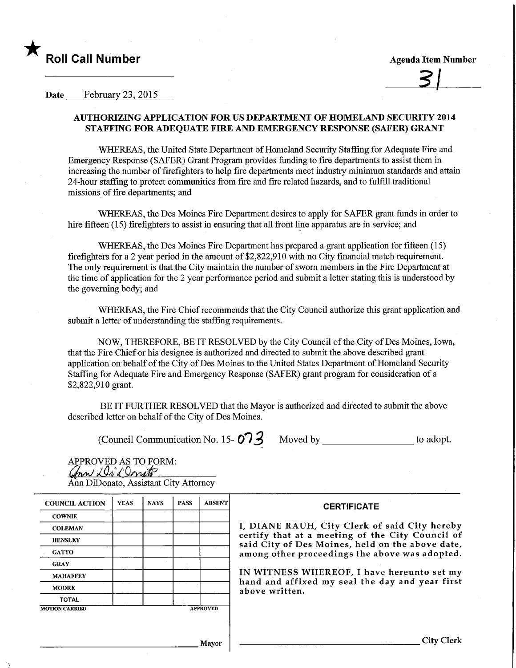

## Date February 23, 2015

## AUTHORIZING APPLICATION FOR US DEPARTMENT OF HOMELAND SECURITY 2014 STAFFING FOR ADEQUATE FIRE AND EMERGENCY RESPONSE (SAFER) GRANT

WHEREAS, the United State Department of Homeland Security Staffing for Adequate Fire and Emergency Response (SAFER) Grant Program provides funding to fire departments to assist them in increasing the number of firefighters to help fire departments meet industry minimum standards and attain 24-hour staffing to protect communities from fire and fire related hazards, and to fulfill traditional missions of fire departments; and

WHEREAS, the Des Moines Fire Department desires to apply for SAFER grant funds in order to hire fifteen (15) firefighters to assist in ensuring that all front line apparatus are in service; and

WHEREAS, the Des Moines Fire Department has prepared a grant application for fifteen (15) firefighters for a 2 year period in the amount of \$2,822,910 with no City financial match requirement. The only requirement is that the City maintain the number of sworn members in the Fire Department at the time of application for the 2 year performance period and submit a letter stating this is understood by the governing body; and

WHEREAS, the Fire Chief recommends that the City Council authorize this grant application and submit a letter of understanding the staffing requirements.

NOW, THEREFORE, BE IT RESOLVED by the City Council of the City of Des Moines, Iowa, that the Fire Chief or his designee is authorized and directed to submit the above described grant application on behalf of the City of Des Moines to the United States Department of Homeland Security Staffing for Adequate Fire and Emergency Response (SAFER) grant program for consideration of a \$2,822,910 grant.

BE IT FURTHER RESOLVED that the Mayor is authorized and directed to submit the above described letter on behalf of the City of Des Moines.

(Council Communication No. 15- Q i ^ Moved by to adopt.

APPROVED AS TO FORM: ann Di Donito Ann DiDonato, Assistant City Attorney

| <b>COUNCIL ACTION</b>                    | <b>YEAS</b> | <b>NAYS</b> | <b>PASS</b> | <b>ABSENT</b> | <b>CERTIFICATE</b><br>I, DIANE RAUH, City Clerk of said City hereby<br>certify that at a meeting of the City Council of<br>said City of Des Moines, held on the above date<br>among other proceedings the above was adopted<br>IN WITNESS WHEREOF, I have hereunto set my<br>hand and affixed my seal the day and year first<br>above written. |
|------------------------------------------|-------------|-------------|-------------|---------------|------------------------------------------------------------------------------------------------------------------------------------------------------------------------------------------------------------------------------------------------------------------------------------------------------------------------------------------------|
| <b>COWNIE</b>                            |             |             |             |               |                                                                                                                                                                                                                                                                                                                                                |
| <b>COLEMAN</b>                           |             |             |             |               |                                                                                                                                                                                                                                                                                                                                                |
| <b>HENSLEY</b>                           |             |             |             |               |                                                                                                                                                                                                                                                                                                                                                |
| <b>GATTO</b>                             |             |             |             |               |                                                                                                                                                                                                                                                                                                                                                |
| <b>GRAY</b>                              |             |             |             |               |                                                                                                                                                                                                                                                                                                                                                |
| <b>MAHAFFEY</b>                          |             |             |             |               |                                                                                                                                                                                                                                                                                                                                                |
| <b>MOORE</b>                             |             |             |             |               |                                                                                                                                                                                                                                                                                                                                                |
| <b>TOTAL</b>                             |             |             |             |               |                                                                                                                                                                                                                                                                                                                                                |
| <b>APPROVED</b><br><b>MOTION CARRIED</b> |             |             |             |               |                                                                                                                                                                                                                                                                                                                                                |
|                                          |             |             |             |               |                                                                                                                                                                                                                                                                                                                                                |

Mayor